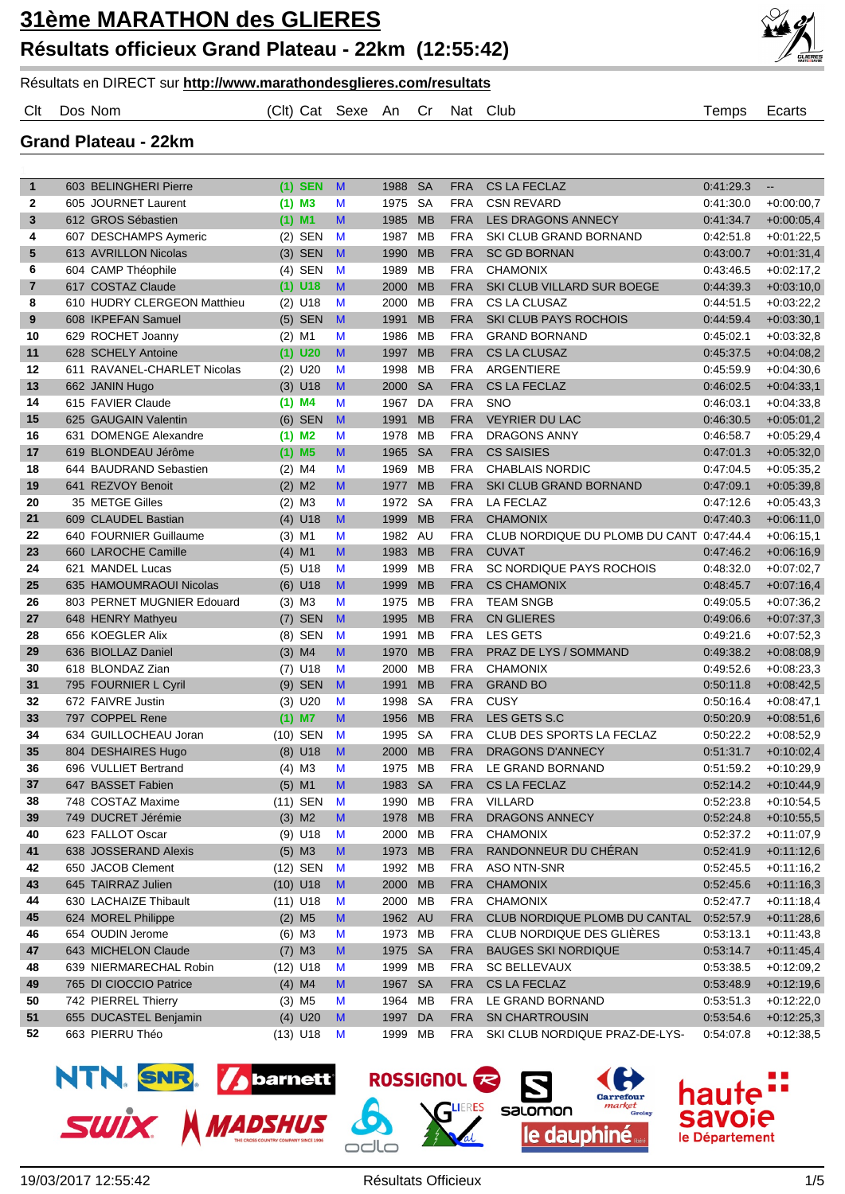

## Résultats en DIRECT sur **http://www.marathondesglieres.com/resultats**

Clt Dos Nom (Clt) Cat Sexe An Cr Nat Club Temps Ecarts

**Grand Plateau - 22km**

| $\mathbf{1}$            | 603 BELINGHERI Pierre                        |            | $(1)$ SEN             | $\mathsf{M}$ | 1988         | <b>SA</b>              | <b>FRA</b>               | <b>CS LA FECLAZ</b>                      | 0:41:29.3              | $\overline{\phantom{a}}$     |
|-------------------------|----------------------------------------------|------------|-----------------------|--------------|--------------|------------------------|--------------------------|------------------------------------------|------------------------|------------------------------|
| $\mathbf{2}$            | 605 JOURNET Laurent                          |            | $(1)$ M3              | M            | 1975         | <b>SA</b>              | <b>FRA</b>               | <b>CSN REVARD</b>                        | 0.41:30.0              | $+0.00:00,7$                 |
| 3                       | 612 GROS Sébastien                           | $(1)$ M1   |                       | M            | 1985         | <b>MB</b>              | <b>FRA</b>               | <b>LES DRAGONS ANNECY</b>                | 0:41:34.7              | $+0.00:05,4$                 |
| 4                       | 607 DESCHAMPS Aymeric                        |            | $(2)$ SEN             | M            | 1987         | <b>MB</b>              | <b>FRA</b>               | SKI CLUB GRAND BORNAND                   | 0.42:51.8              | $+0.01:22.5$                 |
| 5                       | 613 AVRILLON Nicolas                         |            | $(3)$ SEN             | M            | 1990         | <b>MB</b>              | <b>FRA</b>               | <b>SC GD BORNAN</b>                      | 0:43:00.7              | $+0.01:31,4$                 |
| 6                       | 604 CAMP Théophile                           |            | $(4)$ SEN             | M            | 1989         | <b>MB</b>              | <b>FRA</b>               | <b>CHAMONIX</b>                          | 0.43:46.5              | $+0.02:17,2$                 |
| $\overline{\mathbf{r}}$ | 617 COSTAZ Claude                            |            | $(1)$ U18             | M            | 2000         | <b>MB</b>              | <b>FRA</b>               | SKI CLUB VILLARD SUR BOEGE               | 0:44:39.3              | $+0.03:10,0$                 |
| 8                       | 610 HUDRY CLERGEON Matthieu                  |            | $(2)$ U18             | M            | 2000         | <b>MB</b>              | <b>FRA</b>               | CS LA CLUSAZ                             | 0.44:51.5              | $+0.03:22.2$                 |
| 9                       | 608 IKPEFAN Samuel                           |            | $(5)$ SEN             | M            | 1991         | <b>MB</b>              | <b>FRA</b>               | <b>SKI CLUB PAYS ROCHOIS</b>             | 0.44:59.4              | $+0.03:30.1$                 |
| 10                      | 629 ROCHET Joanny                            | $(2)$ M1   |                       | M            | 1986         | <b>MB</b>              | <b>FRA</b>               | <b>GRAND BORNAND</b>                     | 0.45.02.1              | $+0.03:32,8$                 |
| 11                      | 628 SCHELY Antoine                           |            | $(1)$ U20             | M            | 1997         | <b>MB</b>              | <b>FRA</b>               | <b>CS LA CLUSAZ</b>                      | 0:45:37.5              | $+0.04:08,2$                 |
| 12                      | 611 RAVANEL-CHARLET Nicolas                  |            | $(2)$ U20             | M            | 1998         | <b>MB</b>              | <b>FRA</b>               | ARGENTIERE                               | 0.45.59.9              | $+0.04:30,6$                 |
| 13                      | 662 JANIN Hugo                               |            | $(3)$ U18             | $\mathbf{M}$ | 2000         | <b>SA</b>              | <b>FRA</b>               | <b>CS LA FECLAZ</b>                      | 0:46:02.5              | $+0.04.33,1$                 |
| 14                      | 615 FAVIER Claude                            |            | $(1)$ M4              | M            | 1967         | DA                     | <b>FRA</b>               | <b>SNO</b>                               | 0:46.03.1              | $+0.04:33,8$                 |
| 15                      | 625 GAUGAIN Valentin                         |            | $(6)$ SEN             | M            | 1991         | <b>MB</b>              | <b>FRA</b>               | <b>VEYRIER DU LAC</b>                    | 0:46:30.5              | $+0.05.01,2$                 |
| 16                      | 631 DOMENGE Alexandre<br>619 BLONDEAU Jérôme | $(1)$ M2   |                       | M<br>M       | 1978         | <b>MB</b><br><b>SA</b> | <b>FRA</b>               | <b>DRAGONS ANNY</b><br><b>CS SAISIES</b> | 0:46:58.7<br>0:47:01.3 | $+0.05:29,4$                 |
| 17<br>18                | 644 BAUDRAND Sebastien                       | $(2)$ M4   | $(1)$ M <sub>5</sub>  |              | 1965<br>1969 | <b>MB</b>              | <b>FRA</b><br><b>FRA</b> | <b>CHABLAIS NORDIC</b>                   |                        | $+0.05:32,0$<br>$+0.05:35.2$ |
| 19                      |                                              |            |                       | M<br>M       |              | <b>MB</b>              |                          |                                          | 0.47:04.5<br>0:47:09.1 |                              |
| 20                      | 641 REZVOY Benoit                            |            | $(2)$ M <sub>2</sub>  |              | 1977         | <b>SA</b>              | <b>FRA</b><br><b>FRA</b> | SKI CLUB GRAND BORNAND<br>LA FECLAZ      |                        | $+0.05:39,8$                 |
| 21                      | 35 METGE Gilles<br>609 CLAUDEL Bastian       |            | $(2)$ M3<br>$(4)$ U18 | M<br>M       | 1972<br>1999 | <b>MB</b>              | <b>FRA</b>               | <b>CHAMONIX</b>                          | 0.47:12.6<br>0:47:40.3 | $+0.05:43.3$<br>$+0.06:11.0$ |
| 22                      | 640 FOURNIER Guillaume                       | $(3)$ M1   |                       | M            | 1982         | AU                     | <b>FRA</b>               | CLUB NORDIQUE DU PLOMB DU CANT 0:47:44.4 |                        | $+0.06:15,1$                 |
| 23                      | 660 LAROCHE Camille                          | $(4)$ M1   |                       | M            | 1983         | <b>MB</b>              | <b>FRA</b>               | <b>CUVAT</b>                             | 0:47:46.2              | $+0.06:16,9$                 |
| 24                      | 621 MANDEL Lucas                             |            | $(5)$ U18             | M            | 1999         | <b>MB</b>              | <b>FRA</b>               | SC NORDIQUE PAYS ROCHOIS                 | 0:48:32.0              | $+0.07:02.7$                 |
| 25                      | 635 HAMOUMRAOUI Nicolas                      |            | $(6)$ U18             | M            | 1999         | <b>MB</b>              | <b>FRA</b>               | <b>CS CHAMONIX</b>                       | 0:48:45.7              | $+0.07:16,4$                 |
| 26                      | 803 PERNET MUGNIER Edouard                   | $(3)$ M3   |                       | M            | 1975         | <b>MB</b>              | <b>FRA</b>               | <b>TEAM SNGB</b>                         | 0:49:05.5              | $+0.07:36,2$                 |
| 27                      | 648 HENRY Mathyeu                            |            | $(7)$ SEN             | M            | 1995         | <b>MB</b>              | <b>FRA</b>               | <b>CN GLIERES</b>                        | 0:49:06.6              | $+0.07:37,3$                 |
| 28                      | 656 KOEGLER Alix                             |            | (8) SEN               | M            | 1991         | <b>MB</b>              | <b>FRA</b>               | <b>LES GETS</b>                          | 0.49:21.6              | $+0.07:52,3$                 |
| 29                      | 636 BIOLLAZ Daniel                           |            | $(3)$ M4              | M            | 1970         | <b>MB</b>              | <b>FRA</b>               | PRAZ DE LYS / SOMMAND                    | 0:49:38.2              | $+0.08:08,9$                 |
| 30                      | 618 BLONDAZ Zian                             |            | $(7)$ U18             | M            | 2000         | MB                     | <b>FRA</b>               | <b>CHAMONIX</b>                          | 0.49.52.6              | $+0.08:23,3$                 |
| 31                      | 795 FOURNIER L Cyril                         |            | $(9)$ SEN             | M            | 1991         | <b>MB</b>              | <b>FRA</b>               | <b>GRAND BO</b>                          | 0:50:11.8              | $+0.08:42,5$                 |
| 32                      | 672 FAIVRE Justin                            |            | $(3)$ U20             | M            | 1998         | <b>SA</b>              | <b>FRA</b>               | <b>CUSY</b>                              | 0.50.16.4              | $+0.08:47,1$                 |
| 33                      | 797 COPPEL Rene                              | $(1)$ M7   |                       | M            | 1956         | <b>MB</b>              | <b>FRA</b>               | LES GETS S.C                             | 0:50:20.9              | $+0.08:51,6$                 |
| 34                      | 634 GUILLOCHEAU Joran                        |            | (10) SEN              | M            | 1995         | <b>SA</b>              | <b>FRA</b>               | CLUB DES SPORTS LA FECLAZ                | 0:50:22.2              | $+0.08:52,9$                 |
| 35                      | 804 DESHAIRES Hugo                           |            | $(8)$ U18             | M            | 2000         | <b>MB</b>              | <b>FRA</b>               | <b>DRAGONS D'ANNECY</b>                  | 0:51:31.7              | $+0.10:02,4$                 |
| 36                      | 696 VULLIET Bertrand                         | $(4)$ M3   |                       | M            | 1975         | <b>MB</b>              | <b>FRA</b>               | LE GRAND BORNAND                         | 0:51:59.2              | $+0.10.29.9$                 |
| 37                      | 647 BASSET Fabien                            | $(5)$ M1   |                       | M            | 1983         | <b>SA</b>              | <b>FRA</b>               | <b>CS LA FECLAZ</b>                      | 0:52:14.2              | $+0.10:44.9$                 |
| 38                      | 748 COSTAZ Maxime                            |            | (11) SEN              | M            | 1990         | MB                     | <b>FRA</b>               | <b>VILLARD</b>                           | 0:52:23.8              | $+0.10.54,5$                 |
| 39                      | 749 DUCRET Jérémie                           |            | $(3)$ M <sub>2</sub>  | M            | 1978 MB      |                        | <b>FRA</b>               | DRAGONS ANNECY                           | 0:52:24.8              | $+0.10.55,5$                 |
| 40                      | 623 FALLOT Oscar                             |            | $(9)$ U18             | M            | 2000         | MB                     | <b>FRA</b>               | <b>CHAMONIX</b>                          | 0:52:37.2              | $+0:11:07,9$                 |
| 41                      | 638 JOSSERAND Alexis                         |            | $(5)$ M3              | M            | 1973         | <b>MB</b>              | <b>FRA</b>               | RANDONNEUR DU CHÉRAN                     | 0:52:41.9              | $+0.11:12,6$                 |
| 42                      | 650 JACOB Clement                            |            | (12) SEN              | M            | 1992         | МB                     | <b>FRA</b>               | ASO NTN-SNR                              | 0:52:45.5              | $+0.11:16,2$                 |
| 43                      | 645 TAIRRAZ Julien                           | $(10)$ U18 |                       | M            | 2000         | <b>MB</b>              | <b>FRA</b>               | <b>CHAMONIX</b>                          | 0:52:45.6              | $+0.11:16,3$                 |
| 44                      | 630 LACHAIZE Thibault                        | $(11)$ U18 |                       | M            | 2000         | MB                     | <b>FRA</b>               | <b>CHAMONIX</b>                          | 0:52:47.7              | $+0:11:18,4$                 |
| 45                      | 624 MOREL Philippe                           |            | $(2)$ M <sub>5</sub>  | M            | 1962         | <b>AU</b>              | <b>FRA</b>               | CLUB NORDIQUE PLOMB DU CANTAL            | 0:52:57.9              | $+0.11.28,6$                 |
| 46                      | 654 OUDIN Jerome                             |            | $(6)$ M3              | M            | 1973 MB      |                        | <b>FRA</b>               | CLUB NORDIQUE DES GLIÈRES                | 0.53:13.1              | $+0:11:43,8$                 |
| 47                      | 643 MICHELON Claude                          |            | $(7)$ M3              | M            | 1975         | <b>SA</b>              | <b>FRA</b>               | <b>BAUGES SKI NORDIQUE</b>               | 0:53:14.7              | $+0.11:45,4$                 |
| 48                      | 639 NIERMARECHAL Robin                       | $(12)$ U18 |                       | M            | 1999         | MB                     | <b>FRA</b>               | <b>SC BELLEVAUX</b>                      | 0:53:38.5              | $+0.12:09,2$                 |
| 49                      | 765 DI CIOCCIO Patrice                       |            | $(4)$ M4              | M            | 1967 SA      |                        | <b>FRA</b>               | CS LA FECLAZ                             | 0:53:48.9              | $+0.12:19,6$                 |
| 50                      | 742 PIERREL Thierry                          |            | $(3)$ M <sub>5</sub>  | M            | 1964         | MB                     | <b>FRA</b>               | LE GRAND BORNAND                         | 0:53:51.3              | $+0.12:22,0$                 |
| 51                      | 655 DUCASTEL Benjamin                        |            | $(4)$ U20             | M            | 1997         | DA                     | <b>FRA</b>               | <b>SN CHARTROUSIN</b>                    | 0:53:54.6              | $+0.12:25,3$                 |
| 52                      | 663 PIERRU Théo                              |            | $(13)$ U18            | M            | 1999 MB      |                        | <b>FRA</b>               | SKI CLUB NORDIQUE PRAZ-DE-LYS-           | 0:54:07.8              | $+0.12.38,5$                 |



ROSSIGNOL **R** 

salomon

le dauphiné

оте

le Département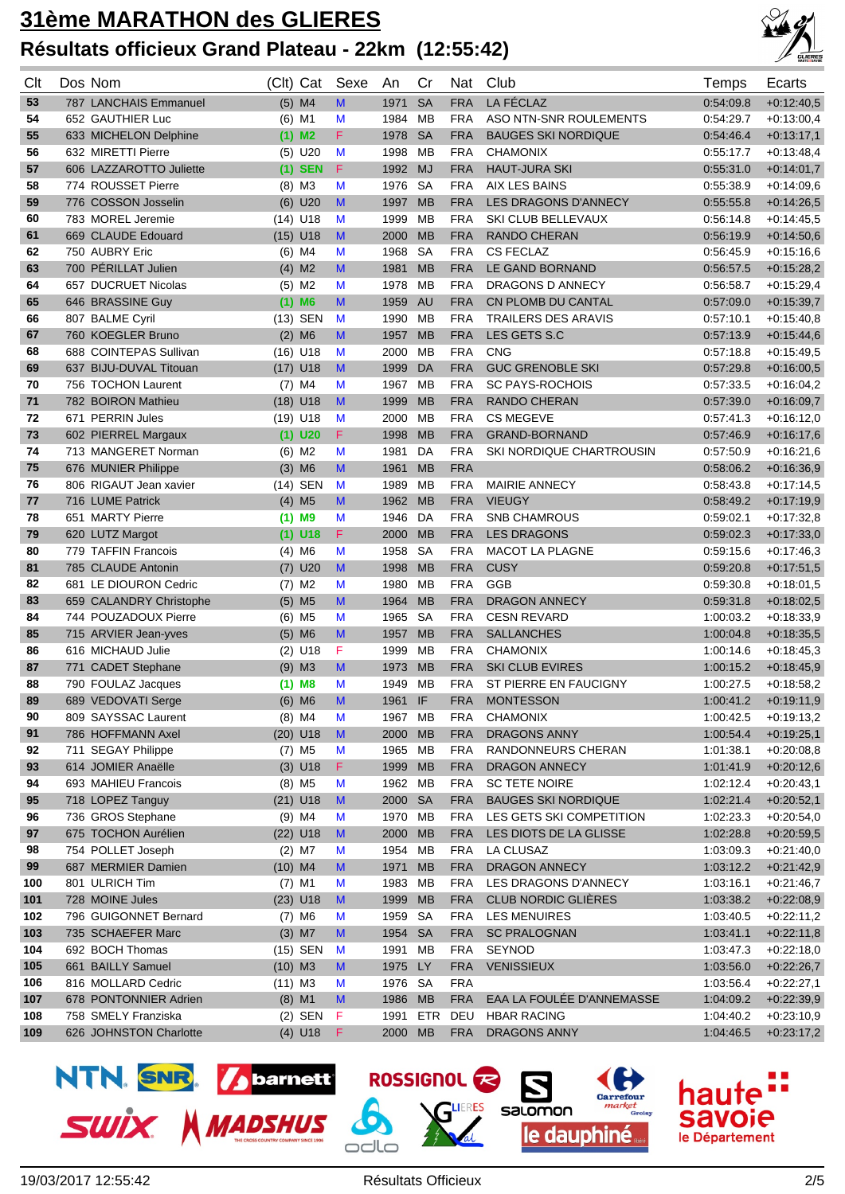## **31ème MARATHON des GLIERES Résultats officieux Grand Plateau - 22km (12:55:42)**



| Clt | Dos Nom                 | (Clt) Cat            | Sexe               | An      | Cr         | Nat        | Club                        | Temps     | Ecarts       |
|-----|-------------------------|----------------------|--------------------|---------|------------|------------|-----------------------------|-----------|--------------|
| 53  | 787 LANCHAIS Emmanuel   | $(5)$ M4             | M                  | 1971    | <b>SA</b>  | <b>FRA</b> | <b>LA FÉCLAZ</b>            | 0:54:09.8 | $+0.12:40.5$ |
| 54  | 652 GAUTHIER Luc        | $(6)$ M1             | M                  | 1984    | <b>MB</b>  | <b>FRA</b> | ASO NTN-SNR ROULEMENTS      | 0:54:29.7 | $+0.13:00,4$ |
| 55  | 633 MICHELON Delphine   | $(1)$ M2             | F                  | 1978    | <b>SA</b>  | <b>FRA</b> | <b>BAUGES SKI NORDIQUE</b>  | 0:54:46.4 | $+0:13:17,1$ |
| 56  | 632 MIRETTI Pierre      | $(5)$ U20            | M                  | 1998    | МB         | <b>FRA</b> | <b>CHAMONIX</b>             | 0:55:17.7 | $+0.13:48,4$ |
| 57  | 606 LAZZAROTTO Juliette | $(1)$ SEN            | F                  | 1992    | <b>MJ</b>  | <b>FRA</b> | <b>HAUT-JURA SKI</b>        | 0:55:31.0 | $+0:14:01,7$ |
| 58  | 774 ROUSSET Pierre      | $(8)$ M3             | M                  | 1976    | <b>SA</b>  | <b>FRA</b> | AIX LES BAINS               | 0:55:38.9 | $+0.14:09,6$ |
| 59  | 776 COSSON Josselin     | $(6)$ U20            | M                  | 1997    | <b>MB</b>  | <b>FRA</b> | <b>LES DRAGONS D'ANNECY</b> | 0:55:55.8 | $+0.14:26,5$ |
| 60  | 783 MOREL Jeremie       | $(14)$ U18           | M                  | 1999    | МB         | <b>FRA</b> | SKI CLUB BELLEVAUX          | 0.56:14.8 | $+0.14:45,5$ |
| 61  | 669 CLAUDE Edouard      | $(15)$ U18           | $\mathbf{M}$       | 2000    | <b>MB</b>  | <b>FRA</b> | <b>RANDO CHERAN</b>         | 0:56:19.9 | $+0.14.50,6$ |
| 62  | 750 AUBRY Eric          | $(6)$ M4             | M                  | 1968    | <b>SA</b>  | <b>FRA</b> | <b>CS FECLAZ</b>            | 0.56:45.9 | $+0.15:16,6$ |
| 63  | 700 PÉRILLAT Julien     | $(4)$ M2             | M                  | 1981    | <b>MB</b>  | <b>FRA</b> | LE GAND BORNAND             | 0:56:57.5 | $+0.15:28,2$ |
| 64  | 657 DUCRUET Nicolas     | $(5)$ M2             | M                  | 1978    | <b>MB</b>  | <b>FRA</b> | DRAGONS D ANNECY            | 0:56:58.7 | $+0.15:29,4$ |
| 65  | 646 BRASSINE Guy        | $(1)$ M6             | M                  | 1959    | <b>AU</b>  | <b>FRA</b> | CN PLOMB DU CANTAL          | 0:57:09.0 | $+0.15:39.7$ |
| 66  | 807 BALME Cyril         | (13) SEN             | M                  | 1990    | <b>MB</b>  | <b>FRA</b> | TRAILERS DES ARAVIS         | 0:57:10.1 | $+0.15:40,8$ |
| 67  | 760 KOEGLER Bruno       | $(2)$ M6             | M                  | 1957    | <b>MB</b>  | <b>FRA</b> | LES GETS S.C                | 0:57:13.9 | $+0.15:44,6$ |
| 68  | 688 COINTEPAS Sullivan  | $(16)$ U18           | M                  | 2000    | МB         | <b>FRA</b> | <b>CNG</b>                  | 0.57:18.8 | $+0.15:49,5$ |
| 69  | 637 BIJU-DUVAL Titouan  | $(17)$ U18           | M                  | 1999    | <b>DA</b>  | <b>FRA</b> | <b>GUC GRENOBLE SKI</b>     | 0:57:29.8 | $+0.16:00,5$ |
| 70  | 756 TOCHON Laurent      | $(7)$ M4             | M                  | 1967    | <b>MB</b>  | <b>FRA</b> | <b>SC PAYS-ROCHOIS</b>      | 0:57:33.5 | $+0.16:04,2$ |
| 71  | 782 BOIRON Mathieu      | $(18)$ U18           | M                  | 1999    | <b>MB</b>  | <b>FRA</b> | <b>RANDO CHERAN</b>         | 0.57:39.0 | $+0.16.09,7$ |
| 72  | 671 PERRIN Jules        | $(19)$ U18           | M                  | 2000    | <b>MB</b>  | <b>FRA</b> | <b>CS MEGEVE</b>            | 0:57:41.3 | $+0.16:12,0$ |
| 73  | 602 PIERREL Margaux     | $(1)$ U20            | F                  | 1998    | <b>MB</b>  | <b>FRA</b> | <b>GRAND-BORNAND</b>        | 0.57:46.9 | $+0.16:17,6$ |
| 74  | 713 MANGERET Norman     | $(6)$ M2             | M                  | 1981    | DA         | <b>FRA</b> | SKI NORDIQUE CHARTROUSIN    | 0:57:50.9 | $+0.16:21,6$ |
| 75  | 676 MUNIER Philippe     | $(3)$ M6             | M                  | 1961    | <b>MB</b>  | <b>FRA</b> |                             | 0:58:06.2 | $+0.16.36,9$ |
| 76  | 806 RIGAUT Jean xavier  | <b>SEN</b><br>(14)   | M                  | 1989    | <b>MB</b>  | <b>FRA</b> | MAIRIE ANNECY               | 0.58:43.8 | $+0.17:14,5$ |
| 77  | 716 LUME Patrick        | $(4)$ M <sub>5</sub> | M                  | 1962    | <b>MB</b>  | <b>FRA</b> | <b>VIEUGY</b>               | 0:58:49.2 | $+0.17:19,9$ |
| 78  | 651 MARTY Pierre        | $(1)$ M9             | M                  | 1946    | DA         | <b>FRA</b> | <b>SNB CHAMROUS</b>         | 0.59:02.1 | $+0.17:32,8$ |
| 79  | 620 LUTZ Margot         | $(1)$ U18            | F                  | 2000    | <b>MB</b>  | <b>FRA</b> | <b>LES DRAGONS</b>          | 0:59:02.3 | $+0:17:33,0$ |
| 80  | 779 TAFFIN Francois     | $(4)$ M6             | M                  | 1958    | <b>SA</b>  | <b>FRA</b> | <b>MACOT LA PLAGNE</b>      | 0:59:15.6 | $+0.17:46,3$ |
| 81  | 785 CLAUDE Antonin      | $(7)$ U20            | M                  | 1998    | <b>MB</b>  | <b>FRA</b> | <b>CUSY</b>                 | 0:59:20.8 | $+0:17:51,5$ |
| 82  | 681 LE DIOURON Cedric   | $(7)$ M2             | M                  | 1980    | МB         | <b>FRA</b> | <b>GGB</b>                  | 0:59:30.8 | $+0.18:01,5$ |
| 83  | 659 CALANDRY Christophe | $(5)$ M <sub>5</sub> | M                  | 1964    | <b>MB</b>  | <b>FRA</b> | <b>DRAGON ANNECY</b>        | 0:59:31.8 | $+0.18:02,5$ |
| 84  | 744 POUZADOUX Pierre    | $(6)$ M <sub>5</sub> | M                  | 1965    | <b>SA</b>  | <b>FRA</b> | <b>CESN REVARD</b>          | 1:00:03.2 | $+0.18:33.9$ |
| 85  | 715 ARVIER Jean-yves    | $(5)$ M6             | M                  | 1957    | <b>MB</b>  | <b>FRA</b> | <b>SALLANCHES</b>           | 1:00:04.8 | $+0.18.35,5$ |
| 86  | 616 MICHAUD Julie       | $(2)$ U18            | F                  | 1999    | <b>MB</b>  | <b>FRA</b> | <b>CHAMONIX</b>             | 1:00:14.6 | $+0.18:45,3$ |
| 87  | 771 CADET Stephane      | $(9)$ M3             | M                  | 1973    | <b>MB</b>  | <b>FRA</b> | <b>SKI CLUB EVIRES</b>      | 1:00:15.2 | $+0.18:45,9$ |
| 88  | 790 FOULAZ Jacques      | $(1)$ M8             | M                  | 1949    | <b>MB</b>  | <b>FRA</b> | ST PIERRE EN FAUCIGNY       | 1:00:27.5 | $+0.18.58,2$ |
| 89  | 689 VEDOVATI Serge      | $(6)$ M6             | M                  | 1961    | IF         | <b>FRA</b> | <b>MONTESSON</b>            | 1:00:41.2 | $+0.19:11.9$ |
| 90  | 809 SAYSSAC Laurent     | $(8)$ M4             | M                  | 1967 MB |            | <b>FRA</b> | <b>CHAMONIX</b>             | 1:00:42.5 | $+0.19:13,2$ |
| 91  | 786 HOFFMANN Axel       | $(20)$ U18           | M                  | 2000    | <b>MB</b>  | <b>FRA</b> | <b>DRAGONS ANNY</b>         | 1:00:54.4 | $+0:19:25,1$ |
| 92  | 711 SEGAY Philippe      | $(7)$ M5             | M                  | 1965    | MB         | <b>FRA</b> | RANDONNEURS CHERAN          | 1:01:38.1 | $+0.20:08,8$ |
| 93  | 614 JOMIER Anaëlle      | $(3)$ U18            | F                  | 1999    | <b>MB</b>  | <b>FRA</b> | <b>DRAGON ANNECY</b>        | 1:01:41.9 | $+0:20:12,6$ |
| 94  | 693 MAHIEU Francois     | $(8)$ M <sub>5</sub> | M                  | 1962    | МB         | <b>FRA</b> | <b>SC TETE NOIRE</b>        | 1:02:12.4 | $+0.20:43,1$ |
| 95  | 718 LOPEZ Tanguy        | $(21)$ U18           | M                  | 2000    | <b>SA</b>  | <b>FRA</b> | <b>BAUGES SKI NORDIQUE</b>  | 1:02:21.4 | $+0:20:52,1$ |
| 96  | 736 GROS Stephane       | $(9)$ M4             | M                  | 1970    | MB         | <b>FRA</b> | LES GETS SKI COMPETITION    | 1:02:23.3 | $+0.20.54,0$ |
| 97  | 675 TOCHON Aurélien     | $(22)$ U18           | M                  | 2000    | <b>MB</b>  | <b>FRA</b> | LES DIOTS DE LA GLISSE      | 1:02:28.8 | $+0.20.59,5$ |
| 98  | 754 POLLET Joseph       | $(2)$ M7             | M                  | 1954    | MB         | <b>FRA</b> | LA CLUSAZ                   | 1:03:09.3 | $+0.21:40,0$ |
| 99  | 687 MERMIER Damien      | $(10)$ M4            | $\mathsf{M}% _{0}$ | 1971    | <b>MB</b>  | <b>FRA</b> | DRAGON ANNECY               | 1:03:12.2 | $+0.21:42,9$ |
| 100 | 801 ULRICH Tim          | $(7)$ M1             | M                  | 1983    | MB         | <b>FRA</b> | LES DRAGONS D'ANNECY        | 1:03:16.1 | $+0.21:46,7$ |
| 101 | 728 MOINE Jules         | $(23)$ U18           | M                  | 1999    | <b>MB</b>  | <b>FRA</b> | CLUB NORDIC GLIÈRES         | 1:03:38.2 | $+0.22:08,9$ |
| 102 | 796 GUIGONNET Bernard   | $(7)$ M6             | M                  | 1959    | SA         | <b>FRA</b> | <b>LES MENUIRES</b>         | 1:03:40.5 | $+0.22:11,2$ |
| 103 | 735 SCHAEFER Marc       | $(3)$ M7             | M                  | 1954    | <b>SA</b>  | <b>FRA</b> | <b>SC PRALOGNAN</b>         | 1:03:41.1 | $+0.22:11,8$ |
| 104 | 692 BOCH Thomas         | $(15)$ SEN           | M                  | 1991    | МB         | <b>FRA</b> | <b>SEYNOD</b>               | 1:03:47.3 | $+0.22:18,0$ |
| 105 | 661 BAILLY Samuel       | $(10)$ M3            | M                  | 1975    | LY         | <b>FRA</b> | <b>VENISSIEUX</b>           | 1:03:56.0 | $+0.22:26,7$ |
| 106 | 816 MOLLARD Cedric      | $(11)$ M3            | M                  | 1976    | SA         | <b>FRA</b> |                             | 1:03:56.4 | $+0.22:27,1$ |
| 107 | 678 PONTONNIER Adrien   | $(8)$ M1             | M                  | 1986    | <b>MB</b>  | <b>FRA</b> | EAA LA FOULÉE D'ANNEMASSE   | 1:04:09.2 | $+0.22:39,9$ |
| 108 | 758 SMELY Franziska     | $(2)$ SEN            | F                  | 1991    | <b>ETR</b> | DEU        | <b>HBAR RACING</b>          | 1:04:40.2 | $+0.23:10,9$ |
| 109 | 626 JOHNSTON Charlotte  | $(4)$ U18            | F                  | 2000    | <b>MB</b>  | <b>FRA</b> | DRAGONS ANNY                | 1:04:46.5 | $+0.23:17,2$ |

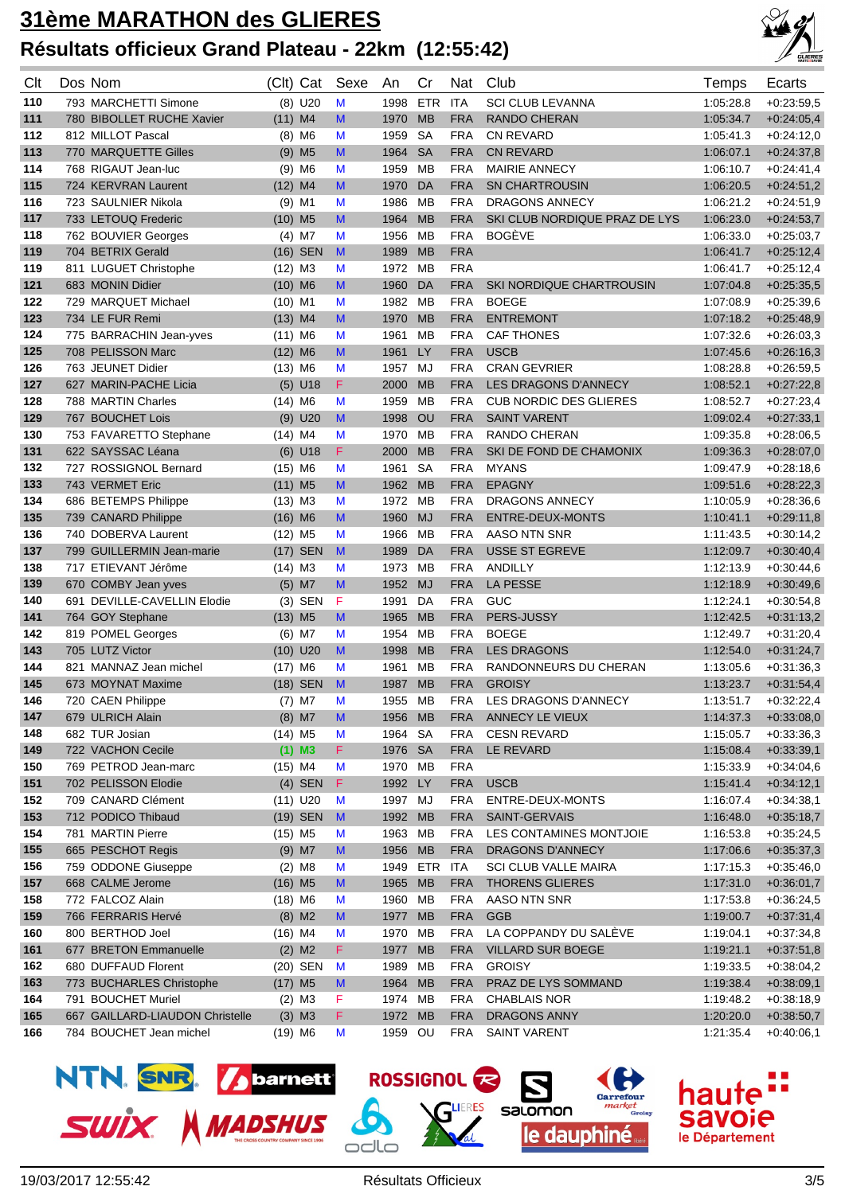## **31ème MARATHON des GLIERES Résultats officieux Grand Plateau - 22km (12:55:42)**



| Clt | Dos Nom                         | (Clt) Cat             |                      | Sexe                                                                                  | An      | Cr         | Nat        | Club                          | Temps     | Ecarts       |
|-----|---------------------------------|-----------------------|----------------------|---------------------------------------------------------------------------------------|---------|------------|------------|-------------------------------|-----------|--------------|
| 110 | 793 MARCHETTI Simone            |                       | $(8)$ U20            | M                                                                                     | 1998    | <b>ETR</b> | <b>ITA</b> | <b>SCI CLUB LEVANNA</b>       | 1:05:28.8 | $+0.23:59,5$ |
| 111 | 780 BIBOLLET RUCHE Xavier       | $(11)$ M4             |                      | M                                                                                     | 1970    | <b>MB</b>  | <b>FRA</b> | RANDO CHERAN                  | 1:05:34.7 | $+0.24:05,4$ |
| 112 | 812 MILLOT Pascal               |                       | $(8)$ M6             | M                                                                                     | 1959    | <b>SA</b>  | <b>FRA</b> | <b>CN REVARD</b>              | 1:05:41.3 | $+0:24:12,0$ |
| 113 | 770 MARQUETTE Gilles            |                       | $(9)$ M <sub>5</sub> | M                                                                                     | 1964    | <b>SA</b>  | <b>FRA</b> | <b>CN REVARD</b>              | 1:06:07.1 | $+0:24:37,8$ |
| 114 | 768 RIGAUT Jean-luc             |                       | $(9)$ M6             | M                                                                                     | 1959    | MB         | <b>FRA</b> | <b>MAIRIE ANNECY</b>          | 1:06:10.7 | $+0.24:41,4$ |
| 115 | 724 KERVRAN Laurent             | $(12)$ M4             |                      | M                                                                                     | 1970    | DA         | <b>FRA</b> | <b>SN CHARTROUSIN</b>         | 1:06:20.5 | $+0.24.51,2$ |
| 116 | 723 SAULNIER Nikola             | $(9)$ M1              |                      | M                                                                                     | 1986    | <b>MB</b>  | <b>FRA</b> | <b>DRAGONS ANNECY</b>         | 1:06:21.2 | $+0.24:51,9$ |
| 117 | 733 LETOUQ Frederic             | $(10)$ M <sub>5</sub> |                      | M                                                                                     | 1964    | <b>MB</b>  | <b>FRA</b> | SKI CLUB NORDIQUE PRAZ DE LYS | 1:06:23.0 | $+0.24:53,7$ |
| 118 | 762 BOUVIER Georges             | $(4)$ M7              |                      | M                                                                                     | 1956    | МB         | <b>FRA</b> | <b>BOGÈVE</b>                 | 1:06:33.0 | $+0.25:03,7$ |
| 119 | 704 BETRIX Gerald               |                       | $(16)$ SEN           | $\mathbf{M}$                                                                          | 1989    | <b>MB</b>  | <b>FRA</b> |                               | 1:06:41.7 | $+0.25:12,4$ |
| 119 | 811 LUGUET Christophe           | $(12)$ M3             |                      | M                                                                                     | 1972    | МB         | <b>FRA</b> |                               | 1:06:41.7 | $+0.25:12,4$ |
| 121 | 683 MONIN Didier                | $(10)$ M6             |                      | M                                                                                     | 1960    | DA         | <b>FRA</b> | SKI NORDIQUE CHARTROUSIN      | 1:07:04.8 | $+0.25:35,5$ |
| 122 | 729 MARQUET Michael             | $(10)$ M1             |                      | M                                                                                     | 1982    | <b>MB</b>  | <b>FRA</b> | <b>BOEGE</b>                  | 1:07:08.9 | $+0.25:39,6$ |
| 123 | 734 LE FUR Remi                 | $(13)$ M4             |                      | M                                                                                     | 1970    | <b>MB</b>  | <b>FRA</b> | <b>ENTREMONT</b>              | 1:07:18.2 | $+0.25:48,9$ |
| 124 | 775 BARRACHIN Jean-yves         | $(11)$ M6             |                      | M                                                                                     | 1961    | <b>MB</b>  | <b>FRA</b> | <b>CAF THONES</b>             | 1:07:32.6 | $+0.26:03,3$ |
| 125 | 708 PELISSON Marc               | $(12)$ M6             |                      | M                                                                                     | 1961    | LY         | <b>FRA</b> | <b>USCB</b>                   | 1:07:45.6 | $+0.26:16,3$ |
| 126 | 763 JEUNET Didier               | $(13)$ M6             |                      | M                                                                                     | 1957    | MJ         | <b>FRA</b> | <b>CRAN GEVRIER</b>           | 1:08:28.8 | $+0.26.59,5$ |
| 127 | 627 MARIN-PACHE Licia           |                       | $(5)$ U18            | F                                                                                     | 2000    | <b>MB</b>  | <b>FRA</b> | <b>LES DRAGONS D'ANNECY</b>   | 1:08:52.1 | $+0:27:22,8$ |
| 128 | 788 MARTIN Charles              | $(14)$ M6             |                      | M                                                                                     | 1959    | <b>MB</b>  | <b>FRA</b> | <b>CUB NORDIC DES GLIERES</b> | 1:08:52.7 | $+0.27:23,4$ |
| 129 | 767 BOUCHET Lois                |                       | $(9)$ U20            | M                                                                                     | 1998    | OU         | <b>FRA</b> | <b>SAINT VARENT</b>           | 1:09:02.4 | $+0:27:33,1$ |
| 130 | 753 FAVARETTO Stephane          | $(14)$ M4             |                      | M                                                                                     | 1970    | МB         | <b>FRA</b> | RANDO CHERAN                  | 1:09:35.8 | $+0.28:06,5$ |
| 131 | 622 SAYSSAC Léana               |                       | $(6)$ U18            | F                                                                                     | 2000    | <b>MB</b>  | <b>FRA</b> | SKI DE FOND DE CHAMONIX       | 1:09:36.3 | $+0.28:07,0$ |
| 132 | 727 ROSSIGNOL Bernard           | $(15)$ M6             |                      | M                                                                                     | 1961    | <b>SA</b>  | <b>FRA</b> | <b>MYANS</b>                  | 1:09:47.9 | $+0.28:18,6$ |
| 133 | 743 VERMET Eric                 | $(11)$ M <sub>5</sub> |                      | M                                                                                     | 1962    | <b>MB</b>  | <b>FRA</b> | <b>EPAGNY</b>                 | 1:09:51.6 | $+0:28:22,3$ |
| 134 | 686 BETEMPS Philippe            | $(13)$ M3             |                      | M                                                                                     | 1972    | <b>MB</b>  | <b>FRA</b> | DRAGONS ANNECY                | 1:10:05.9 | $+0.28:36,6$ |
| 135 | 739 CANARD Philippe             | $(16)$ M6             |                      | M                                                                                     | 1960    | <b>MJ</b>  | <b>FRA</b> | ENTRE-DEUX-MONTS              | 1:10:41.1 | $+0.29:11,8$ |
| 136 | 740 DOBERVA Laurent             | $(12)$ M <sub>5</sub> |                      | M                                                                                     | 1966    | МB         | <b>FRA</b> | AASO NTN SNR                  | 1:11:43.5 | $+0.30:14,2$ |
| 137 | 799 GUILLERMIN Jean-marie       |                       | $(17)$ SEN           | $\mathbf{M}$                                                                          | 1989    | DA         | <b>FRA</b> | <b>USSE ST EGREVE</b>         | 1:12:09.7 | $+0.30:40,4$ |
| 138 | 717 ETIEVANT Jérôme             | $(14)$ M3             |                      | M                                                                                     | 1973    | <b>MB</b>  | <b>FRA</b> | <b>ANDILLY</b>                | 1:12:13.9 | $+0.30:44,6$ |
| 139 | 670 COMBY Jean yves             |                       | $(5)$ M7             | M                                                                                     | 1952    | <b>MJ</b>  | <b>FRA</b> | <b>LA PESSE</b>               | 1:12:18.9 | $+0.30:49,6$ |
| 140 | 691 DEVILLE-CAVELLIN Elodie     |                       | $(3)$ SEN            | F                                                                                     | 1991    | DA         | <b>FRA</b> | <b>GUC</b>                    | 1:12:24.1 | $+0.30.54,8$ |
| 141 | 764 GOY Stephane                | $(13)$ M <sub>5</sub> |                      | M                                                                                     | 1965    | <b>MB</b>  | <b>FRA</b> | PERS-JUSSY                    | 1:12:42.5 | $+0:31:13,2$ |
| 142 | 819 POMEL Georges               |                       | $(6)$ M7             | M                                                                                     | 1954    | МB         | <b>FRA</b> | <b>BOEGE</b>                  | 1:12:49.7 | $+0.31:20,4$ |
| 143 | 705 LUTZ Victor                 | $(10)$ U20            |                      | M                                                                                     | 1998    | <b>MB</b>  | <b>FRA</b> | <b>LES DRAGONS</b>            | 1:12:54.0 | $+0:31:24,7$ |
| 144 | 821 MANNAZ Jean michel          | $(17)$ M6             |                      | M                                                                                     | 1961    | <b>MB</b>  | <b>FRA</b> | RANDONNEURS DU CHERAN         | 1:13:05.6 | $+0:31:36,3$ |
| 145 | 673 MOYNAT Maxime               |                       | (18) SEN             | M                                                                                     | 1987    | <b>MB</b>  | <b>FRA</b> | <b>GROISY</b>                 | 1:13:23.7 | $+0:31:54,4$ |
| 146 | 720 CAEN Philippe               |                       | $(7)$ M7             | M                                                                                     | 1955    | MB         | <b>FRA</b> | LES DRAGONS D'ANNECY          | 1:13:51.7 | $+0.32:22,4$ |
| 147 | 679 ULRICH Alain                |                       | $(8)$ M7             | M                                                                                     | 1956    | MB         | <b>FRA</b> | ANNECY LE VIEUX               | 1:14:37.3 | $+0:33:08,0$ |
| 148 | 682 TUR Josian                  | $(14)$ M5             |                      | M                                                                                     | 1964 SA |            | <b>FRA</b> | <b>CESN REVARD</b>            | 1:15:05.7 | $+0.33.36,3$ |
| 149 | 722 VACHON Cecile               |                       | $(1)$ M3             | F.                                                                                    | 1976    | <b>SA</b>  | <b>FRA</b> | LE REVARD                     | 1:15:08.4 | $+0.33.39,1$ |
| 150 | 769 PETROD Jean-marc            | $(15)$ M4             |                      | M                                                                                     | 1970    | МB         | <b>FRA</b> |                               | 1:15:33.9 | $+0.34:04,6$ |
| 151 | 702 PELISSON Elodie             |                       | $(4)$ SEN            | F                                                                                     | 1992    | LY         | <b>FRA</b> | <b>USCB</b>                   | 1:15:41.4 | $+0:34:12,1$ |
| 152 | 709 CANARD Clément              | $(11)$ U20            |                      | M                                                                                     | 1997    | MJ         | <b>FRA</b> | ENTRE-DEUX-MONTS              | 1:16:07.4 | $+0.34.38,1$ |
| 153 | 712 PODICO Thibaud              |                       | (19) SEN             | M                                                                                     | 1992    | <b>MB</b>  | <b>FRA</b> | SAINT-GERVAIS                 | 1:16:48.0 | $+0:35:18,7$ |
| 154 | 781 MARTIN Pierre               | $(15)$ M5             |                      | M                                                                                     | 1963    | MB         | <b>FRA</b> | LES CONTAMINES MONTJOIE       | 1:16:53.8 | $+0.35:24,5$ |
| 155 | 665 PESCHOT Regis               |                       | $(9)$ M7             | $\mathsf{M}% _{T}=\mathsf{M}_{T}\!\left( a,b\right) ,\ \mathsf{M}_{T}=\mathsf{M}_{T}$ | 1956    | <b>MB</b>  | <b>FRA</b> | DRAGONS D'ANNECY              | 1:17:06.6 | $+0.35.37,3$ |
| 156 | 759 ODDONE Giuseppe             |                       | $(2)$ M <sub>8</sub> | M                                                                                     | 1949    | ETR        | <b>ITA</b> | <b>SCI CLUB VALLE MAIRA</b>   | 1:17:15.3 | $+0.35:46,0$ |
| 157 | 668 CALME Jerome                | $(16)$ M <sub>5</sub> |                      | M                                                                                     | 1965    | <b>MB</b>  | <b>FRA</b> | <b>THORENS GLIERES</b>        | 1:17:31.0 | $+0:36:01,7$ |
| 158 | 772 FALCOZ Alain                | $(18)$ M6             |                      | M                                                                                     | 1960    | МB         | <b>FRA</b> | AASO NTN SNR                  | 1:17:53.8 | $+0.36:24,5$ |
| 159 | 766 FERRARIS Hervé              |                       | $(8)$ M2             | M                                                                                     | 1977    | MB         | <b>FRA</b> | <b>GGB</b>                    | 1:19:00.7 | $+0.37:31,4$ |
| 160 | 800 BERTHOD Joel                | $(16)$ M4             |                      | M                                                                                     | 1970    | МB         | <b>FRA</b> | LA COPPANDY DU SALÈVE         | 1:19:04.1 | $+0.37.34,8$ |
| 161 | 677 BRETON Emmanuelle           |                       | $(2)$ M2             | F.                                                                                    | 1977    | <b>MB</b>  | <b>FRA</b> | VILLARD SUR BOEGE             | 1:19:21.1 | $+0.37:51,8$ |
| 162 | 680 DUFFAUD Florent             |                       | (20) SEN             | M                                                                                     | 1989    | МB         | <b>FRA</b> | <b>GROISY</b>                 | 1:19:33.5 | $+0.38:04,2$ |
| 163 | 773 BUCHARLES Christophe        | $(17)$ M <sub>5</sub> |                      | M                                                                                     | 1964    | <b>MB</b>  | <b>FRA</b> | PRAZ DE LYS SOMMAND           | 1:19:38.4 | $+0.38:09,1$ |
| 164 | 791 BOUCHET Muriel              |                       | $(2)$ M3             | F                                                                                     | 1974    | МB         | <b>FRA</b> | <b>CHABLAIS NOR</b>           | 1:19:48.2 | $+0.38:18,9$ |
| 165 | 667 GAILLARD-LIAUDON Christelle |                       | $(3)$ M3             | F.                                                                                    | 1972    | <b>MB</b>  | <b>FRA</b> | DRAGONS ANNY                  | 1:20:20.0 | $+0.38.50,7$ |
| 166 | 784 BOUCHET Jean michel         | $(19)$ M6             |                      | M                                                                                     | 1959 OU |            | <b>FRA</b> | <b>SAINT VARENT</b>           | 1:21:35.4 | $+0.40:06,1$ |

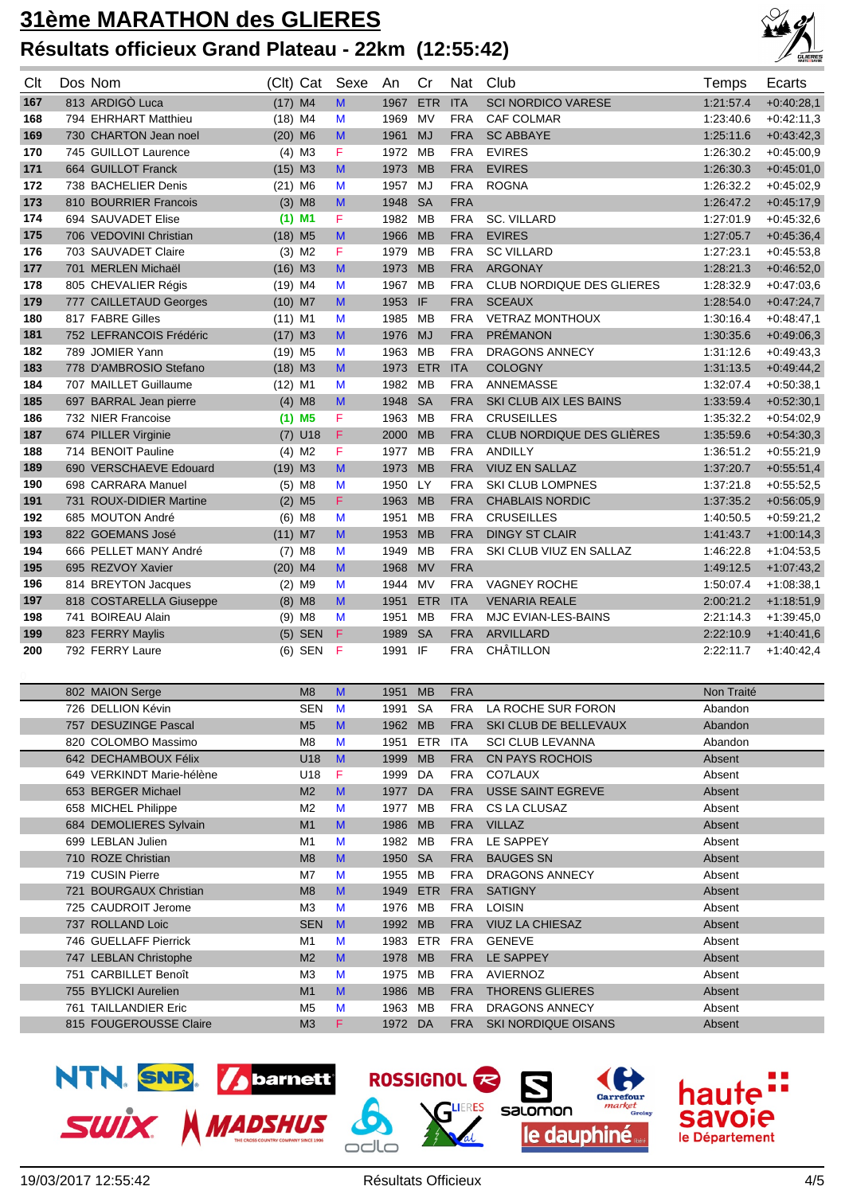## **31ème MARATHON des GLIERES Résultats officieux Grand Plateau - 22km (12:55:42)**



| Clt | Dos Nom                 |                       | (Clt) Cat            | Sexe         | An   | Cr         | <b>Nat</b> | Club                             | Temps     | Ecarts       |
|-----|-------------------------|-----------------------|----------------------|--------------|------|------------|------------|----------------------------------|-----------|--------------|
| 167 | 813 ARDIGÒ Luca         | $(17)$ M4             |                      | M            | 1967 | <b>ETR</b> | <b>ITA</b> | <b>SCI NORDICO VARESE</b>        | 1:21:57.4 | $+0.40:28,1$ |
| 168 | 794 EHRHART Matthieu    | $(18)$ M4             |                      | M            | 1969 | <b>MV</b>  | <b>FRA</b> | <b>CAF COLMAR</b>                | 1.23:40.6 | $+0.42:11,3$ |
| 169 | 730 CHARTON Jean noel   | $(20)$ M6             |                      | M            | 1961 | <b>MJ</b>  | <b>FRA</b> | <b>SC ABBAYE</b>                 | 1:25:11.6 | $+0.43:42,3$ |
| 170 | 745 GUILLOT Laurence    |                       | $(4)$ M3             | F            | 1972 | <b>MB</b>  | <b>FRA</b> | <b>EVIRES</b>                    | 1:26:30.2 | $+0.45:00,9$ |
| 171 | 664 GUILLOT Franck      | $(15)$ M3             |                      | M            | 1973 | <b>MB</b>  | <b>FRA</b> | <b>EVIRES</b>                    | 1:26:30.3 | $+0.45:01.0$ |
| 172 | 738 BACHELIER Denis     | $(21)$ M6             |                      | M            | 1957 | MJ         | <b>FRA</b> | <b>ROGNA</b>                     | 1:26:32.2 | $+0.45:02.9$ |
| 173 | 810 BOURRIER Francois   |                       | $(3)$ M <sub>8</sub> | M            | 1948 | <b>SA</b>  | <b>FRA</b> |                                  | 1:26:47.2 | $+0.45:17,9$ |
| 174 | 694 SAUVADET Elise      |                       | $(1)$ M1             | F            | 1982 | <b>MB</b>  | <b>FRA</b> | <b>SC. VILLARD</b>               | 1:27:01.9 | $+0.45:32,6$ |
| 175 | 706 VEDOVINI Christian  | $(18)$ M <sub>5</sub> |                      | M            | 1966 | <b>MB</b>  | <b>FRA</b> | <b>EVIRES</b>                    | 1:27:05.7 | $+0.45:36.4$ |
| 176 | 703 SAUVADET Claire     |                       | $(3)$ M <sub>2</sub> | F            | 1979 | <b>MB</b>  | <b>FRA</b> | <b>SC VILLARD</b>                | 1:27:23.1 | $+0.45:53.8$ |
| 177 | 701 MERLEN Michaël      | $(16)$ M3             |                      | M            | 1973 | <b>MB</b>  | <b>FRA</b> | <b>ARGONAY</b>                   | 1:28:21.3 | $+0.46:52,0$ |
| 178 | 805 CHEVALIER Régis     | $(19)$ M4             |                      | M            | 1967 | <b>MB</b>  | <b>FRA</b> | <b>CLUB NORDIQUE DES GLIERES</b> | 1:28:32.9 | $+0.47:03,6$ |
| 179 | 777 CAILLETAUD Georges  | $(10)$ M7             |                      | M            | 1953 | IF         | <b>FRA</b> | <b>SCEAUX</b>                    | 1:28:54.0 | $+0:47:24,7$ |
| 180 | 817 FABRE Gilles        | $(11)$ M1             |                      | M            | 1985 | <b>MB</b>  | <b>FRA</b> | <b>VETRAZ MONTHOUX</b>           | 1:30:16.4 | $+0.48:47,1$ |
| 181 | 752 LEFRANCOIS Frédéric | $(17)$ M3             |                      | M            | 1976 | <b>MJ</b>  | <b>FRA</b> | <b>PRÉMANON</b>                  | 1:30:35.6 | $+0.49:06,3$ |
| 182 | 789 JOMIER Yann         | $(19)$ M <sub>5</sub> |                      | M            | 1963 | <b>MB</b>  | <b>FRA</b> | <b>DRAGONS ANNECY</b>            | 1:31:12.6 | $+0.49:43,3$ |
| 183 | 778 D'AMBROSIO Stefano  | $(18)$ M3             |                      | M            | 1973 | <b>ETR</b> | <b>ITA</b> | <b>COLOGNY</b>                   | 1:31:13.5 | $+0.49:44,2$ |
| 184 | 707 MAILLET Guillaume   | $(12)$ M1             |                      | M            | 1982 | <b>MB</b>  | <b>FRA</b> | <b>ANNEMASSE</b>                 | 1:32:07.4 | $+0.50.38,1$ |
| 185 | 697 BARRAL Jean pierre  |                       | $(4)$ M <sub>8</sub> | M            | 1948 | <b>SA</b>  | <b>FRA</b> | SKI CLUB AIX LES BAINS           | 1:33:59.4 | $+0.52:30,1$ |
| 186 | 732 NIER Francoise      |                       | $(1)$ M5             | F            | 1963 | <b>MB</b>  | <b>FRA</b> | <b>CRUSEILLES</b>                | 1:35:32.2 | $+0.54:02,9$ |
| 187 | 674 PILLER Virginie     |                       | $(7)$ U18            | F            | 2000 | <b>MB</b>  | <b>FRA</b> | CLUB NORDIQUE DES GLIÈRES        | 1:35:59.6 | $+0.54:30,3$ |
| 188 | 714 BENOIT Pauline      |                       | $(4)$ M <sub>2</sub> | F            | 1977 | MB         | <b>FRA</b> | <b>ANDILLY</b>                   | 1:36:51.2 | $+0.55:21.9$ |
| 189 | 690 VERSCHAEVE Edouard  | $(19)$ M3             |                      | M            | 1973 | <b>MB</b>  | <b>FRA</b> | <b>VIUZ EN SALLAZ</b>            | 1:37:20.7 | $+0.55.51,4$ |
| 190 | 698 CARRARA Manuel      |                       | $(5)$ M <sub>8</sub> | M            | 1950 | LY         | <b>FRA</b> | <b>SKI CLUB LOMPNES</b>          | 1:37:21.8 | $+0.55:52.5$ |
| 191 | 731 ROUX-DIDIER Martine |                       | $(2)$ M <sub>5</sub> | F            | 1963 | <b>MB</b>  | <b>FRA</b> | <b>CHABLAIS NORDIC</b>           | 1:37:35.2 | $+0.56.05,9$ |
| 192 | 685 MOUTON André        |                       | $(6)$ M <sub>8</sub> | M            | 1951 | <b>MB</b>  | <b>FRA</b> | <b>CRUSEILLES</b>                | 1:40:50.5 | $+0.59:21,2$ |
| 193 | 822 GOEMANS José        | $(11)$ M7             |                      | M            | 1953 | <b>MB</b>  | <b>FRA</b> | <b>DINGY ST CLAIR</b>            | 1:41:43.7 | $+1:00:14,3$ |
| 194 | 666 PELLET MANY André   | (7)                   | M8                   | M            | 1949 | <b>MB</b>  | <b>FRA</b> | SKI CLUB VIUZ EN SALLAZ          | 1:46:22.8 | $+1:04:53,5$ |
| 195 | 695 REZVOY Xavier       | $(20)$ M4             |                      | $\mathsf{M}$ | 1968 | <b>MV</b>  | <b>FRA</b> |                                  | 1:49:12.5 | $+1:07:43,2$ |
| 196 | 814 BREYTON Jacques     |                       | $(2)$ M9             | M            | 1944 | <b>MV</b>  | <b>FRA</b> | <b>VAGNEY ROCHE</b>              | 1:50:07.4 | $+1:08:38,1$ |
| 197 | 818 COSTARELLA Giuseppe |                       | $(8)$ M8             | M            | 1951 | <b>ETR</b> | <b>ITA</b> | <b>VENARIA REALE</b>             | 2:00:21.2 | $+1:18:51,9$ |
| 198 | 741 BOIREAU Alain       |                       | $(9)$ M8             | M            | 1951 | <b>MB</b>  | <b>FRA</b> | <b>MJC EVIAN-LES-BAINS</b>       | 2:21:14.3 | $+1:39:45,0$ |
| 199 | 823 FERRY Maylis        |                       | $(5)$ SEN            | F            | 1989 | <b>SA</b>  | <b>FRA</b> | <b>ARVILLARD</b>                 | 2:22:10.9 | $+1:40:41,6$ |
| 200 | 792 FERRY Laure         |                       | $(6)$ SEN            | F            | 1991 | IF         | <b>FRA</b> | <b>CHÂTILLON</b>                 | 2:22:11.7 | $+1:40:42,4$ |

|     | 802 MAION Serge           | M8             | M            | 1951 | <b>MB</b>  | <b>FRA</b> |                            | Non Traité |
|-----|---------------------------|----------------|--------------|------|------------|------------|----------------------------|------------|
|     | 726 DELLION Kévin         | <b>SEN</b>     | M            | 1991 | <b>SA</b>  | <b>FRA</b> | LA ROCHE SUR FORON         | Abandon    |
|     | 757 DESUZINGE Pascal      | M <sub>5</sub> | M            | 1962 | <b>MB</b>  | <b>FRA</b> | SKI CLUB DE BELLEVAUX      | Abandon    |
|     | 820 COLOMBO Massimo       | M <sub>8</sub> | M            | 1951 | ETR        | <b>ITA</b> | <b>SCI CLUB LEVANNA</b>    | Abandon    |
|     | 642 DECHAMBOUX Félix      | U18            | $\mathbf{M}$ | 1999 | <b>MB</b>  | <b>FRA</b> | <b>CN PAYS ROCHOIS</b>     | Absent     |
|     | 649 VERKINDT Marie-hélène | U18            | F            | 1999 | DA         | <b>FRA</b> | CO7LAUX                    | Absent     |
|     | 653 BERGER Michael        | M <sub>2</sub> | M            | 1977 | <b>DA</b>  | <b>FRA</b> | <b>USSE SAINT EGREVE</b>   | Absent     |
|     | 658 MICHEL Philippe       | M <sub>2</sub> | M            | 1977 | MВ         | <b>FRA</b> | CS LA CLUSAZ               | Absent     |
|     | 684 DEMOLIERES Sylvain    | M <sub>1</sub> | M            | 1986 | <b>MB</b>  | <b>FRA</b> | <b>VILLAZ</b>              | Absent     |
|     | 699 LEBLAN Julien         | M <sub>1</sub> | M            | 1982 | <b>MB</b>  | <b>FRA</b> | LE SAPPEY                  | Absent     |
|     | 710 ROZE Christian        | M8             | M            | 1950 | <b>SA</b>  | <b>FRA</b> | <b>BAUGES SN</b>           | Absent     |
|     | 719 CUSIN Pierre          | M7             | M            | 1955 | MВ         | <b>FRA</b> | <b>DRAGONS ANNECY</b>      | Absent     |
| 721 | <b>BOURGAUX Christian</b> | M8             | M            | 1949 | <b>ETR</b> | <b>FRA</b> | <b>SATIGNY</b>             | Absent     |
|     | 725 CAUDROIT Jerome       | M <sub>3</sub> | M            | 1976 | <b>MB</b>  | <b>FRA</b> | <b>LOISIN</b>              | Absent     |
|     | 737 ROLLAND Loic          | <b>SEN</b>     | $\mathbf{M}$ | 1992 | <b>MB</b>  | <b>FRA</b> | <b>VIUZ LA CHIESAZ</b>     | Absent     |
|     | 746 GUELLAFF Pierrick     | M <sub>1</sub> | M            | 1983 | <b>ETR</b> | <b>FRA</b> | <b>GENEVE</b>              | Absent     |
|     | 747 LEBLAN Christophe     | M <sub>2</sub> | M            | 1978 | <b>MB</b>  | <b>FRA</b> | <b>LE SAPPEY</b>           | Absent     |
|     | 751 CARBILLET Benoît      | M <sub>3</sub> | M            | 1975 | <b>MB</b>  | <b>FRA</b> | <b>AVIERNOZ</b>            | Absent     |
|     | 755 BYLICKI Aurelien      | M <sub>1</sub> | M            | 1986 | <b>MB</b>  | <b>FRA</b> | <b>THORENS GLIERES</b>     | Absent     |
|     | 761 TAILLANDIER Eric      | M <sub>5</sub> | M            | 1963 | MВ         | <b>FRA</b> | <b>DRAGONS ANNECY</b>      | Absent     |
|     | 815 FOUGEROUSSE Claire    | M <sub>3</sub> | F            | 1972 | DA         | <b>FRA</b> | <b>SKI NORDIQUE OISANS</b> | Absent     |